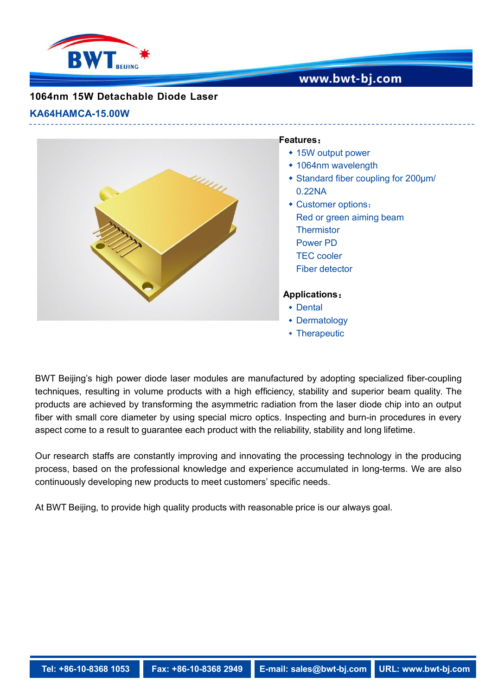

## www.bwt-bj.com

## **1064nm 15W Detachable Diode Laser**

#### **KA64HAMCA-15.00W**



#### **Features**:

- 15W output power
- 1064nm wavelength
- Standard fiber coupling for 200μm/ 0.22NA
- Customer options: Red or green aiming beam **Thermistor** Power PD TEC cooler Fiber detector

### **Applications**:

- Dental
- Dermatology
- Therapeutic

BWT Beijing's high power diode laser modules are manufactured by adopting specialized fiber-coupling techniques, resulting in volume products with a high efficiency, stability and superior beam quality. The products are achieved by transforming the asymmetric radiation from the laser diode chip into an output fiber with small core diameter by using special micro optics. Inspecting and burn-in procedures in every aspect come to a result to guarantee each product with the reliability, stability and long lifetime.

Our research staffs are constantly improving and innovating the processing technology in the producing process, based on the professional knowledge and experience accumulated in long-terms. We are also continuously developing new products to meet customers' specific needs.

At BWT Beijing, to provide high quality products with reasonable price is our always goal.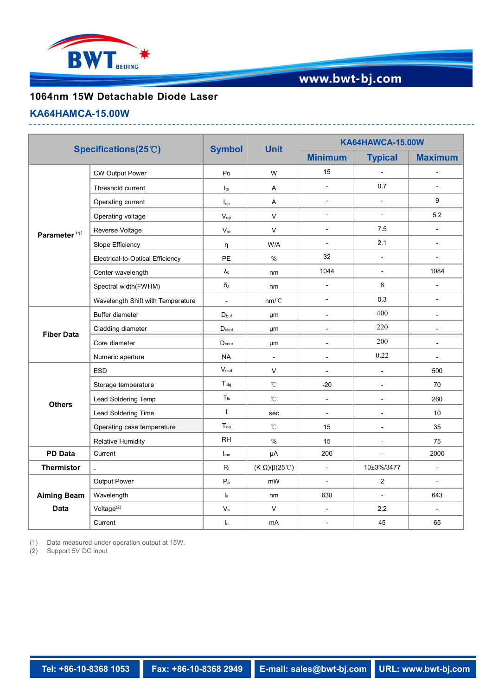

# www.bwt-bj.com

## **1064nm 15W Detachable Diode Laser**

#### **KA64HAMCA-15.00W**

| Specifications(25°C)              |                                   | <b>Symbol</b>               | <b>Unit</b>                   | <b>KA64HAWCA-15.00W</b>  |                          |                          |
|-----------------------------------|-----------------------------------|-----------------------------|-------------------------------|--------------------------|--------------------------|--------------------------|
|                                   |                                   |                             |                               | <b>Minimum</b>           | <b>Typical</b>           | <b>Maximum</b>           |
| Parameter <sup>(1)</sup>          | <b>CW Output Power</b>            | Po                          | W                             | 15                       | $\blacksquare$           | $\overline{a}$           |
|                                   | Threshold current                 | I <sub>th</sub>             | Α                             | $\overline{\phantom{a}}$ | 0.7                      | $\overline{a}$           |
|                                   | Operating current                 | $I_{op}$                    | A                             | $\blacksquare$           | $\sim$                   | 9                        |
|                                   | Operating voltage                 | $V_{op}$                    | $\mathsf{V}$                  | $\sim$                   | $\blacksquare$           | 5.2                      |
|                                   | Reverse Voltage                   | $V_{\sf re}$                | $\vee$                        | $\overline{\phantom{a}}$ | 7.5                      | $\blacksquare$           |
|                                   | Slope Efficiency                  | $\eta$                      | W/A                           | $\blacksquare$           | 2.1                      | $\blacksquare$           |
|                                   | Electrical-to-Optical Efficiency  | PE                          | $\%$                          | 32                       | $\blacksquare$           | $\overline{a}$           |
|                                   | Center wavelength                 | $\lambda_{\rm c}$           | nm                            | 1044                     | $\mathbf{r}$             | 1084                     |
|                                   | Spectral width(FWHM)              | $\delta_\lambda$            | nm                            | $\blacksquare$           | 6                        | $\blacksquare$           |
|                                   | Wavelength Shift with Temperature | $\mathcal{L}$               | nm/C                          | $\overline{\phantom{a}}$ | 0.3                      | $\overline{\phantom{0}}$ |
| <b>Fiber Data</b>                 | Buffer diameter                   | $D_{\text{buf}}$            | μm                            | $\overline{\phantom{a}}$ | 400                      | $\blacksquare$           |
|                                   | Cladding diameter                 | $D_{\text{clad}}$           | μm                            | $\blacksquare$           | 220                      | $\blacksquare$           |
|                                   | Core diameter                     | $D_{core}$                  | μm                            | $\sim$                   | 200                      | $\blacksquare$           |
|                                   | Numeric aperture                  | <b>NA</b>                   | $\blacksquare$                | $\blacksquare$           | 0.22                     | $\blacksquare$           |
| <b>Others</b>                     | ESD                               | $\mathsf{V}_{\mathsf{esd}}$ | $\vee$                        | $\blacksquare$           | $\overline{\phantom{a}}$ | 500                      |
|                                   | Storage temperature               | $T_{\text{stg}}$            | $^{\circ}$ C                  | $-20$                    | $\overline{\phantom{a}}$ | 70                       |
|                                   | Lead Soldering Temp               | $T_{ls}$                    | $^\circ\!{\rm C}$             | $\blacksquare$           | $\overline{\phantom{a}}$ | 260                      |
|                                   | Lead Soldering Time               | $\mathsf{t}$                | sec                           | $\blacksquare$           | $\blacksquare$           | 10                       |
|                                   | Operating case temperature        | $T_{op}$                    | $^{\circ}$ C                  | 15                       | $\overline{\phantom{a}}$ | 35                       |
|                                   | <b>Relative Humidity</b>          | <b>RH</b>                   | $\%$                          | 15                       | $\overline{\phantom{a}}$ | 75                       |
| <b>PD Data</b>                    | Current                           | $I_{\text{mo}}$             | $\mu A$                       | 200                      | $\mathbf{r}$             | 2000                     |
| <b>Thermistor</b>                 |                                   | $\mathsf{R}_{\mathsf{t}}$   | (K $\Omega$ )/ $\beta$ (25°C) | $\blacksquare$           | 10±3%/3477               | $\blacksquare$           |
| <b>Aiming Beam</b><br><b>Data</b> | Output Power                      | $\mathsf{P}_{\mathsf{a}}$   | mW                            | $\overline{a}$           | $\overline{2}$           | $\overline{\phantom{a}}$ |
|                                   | Wavelength                        | $I_a$                       | nm                            | 630                      | $\blacksquare$           | 643                      |
|                                   | Voltage <sup>(2)</sup>            | $\mathsf{V}_{\mathsf{a}}$   | $\mathsf{V}$                  | $\blacksquare$           | 2.2                      | $\sim$                   |
|                                   | Current                           | $I_a$                       | mA                            | $\blacksquare$           | 45                       | 65                       |

(1) Data measured under operation output at 15W.

(2) Support 5V DC input